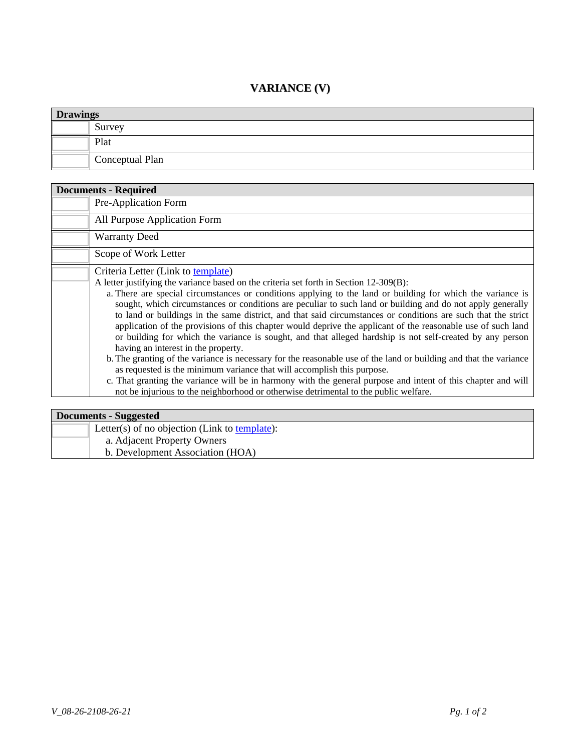## **VARIANCE (V)**

| <b>Drawings</b> |                 |
|-----------------|-----------------|
|                 | Survey          |
|                 | Plat            |
|                 | Conceptual Plan |

| <b>Documents - Required</b> |                                                                                                                                                                                                                                                                                                                                                                                                                                                                                                                                                                                                                                                                                                                                                                                                                                                                                                                                                                                                                                                                                                                                                         |  |
|-----------------------------|---------------------------------------------------------------------------------------------------------------------------------------------------------------------------------------------------------------------------------------------------------------------------------------------------------------------------------------------------------------------------------------------------------------------------------------------------------------------------------------------------------------------------------------------------------------------------------------------------------------------------------------------------------------------------------------------------------------------------------------------------------------------------------------------------------------------------------------------------------------------------------------------------------------------------------------------------------------------------------------------------------------------------------------------------------------------------------------------------------------------------------------------------------|--|
|                             | Pre-Application Form                                                                                                                                                                                                                                                                                                                                                                                                                                                                                                                                                                                                                                                                                                                                                                                                                                                                                                                                                                                                                                                                                                                                    |  |
|                             | All Purpose Application Form                                                                                                                                                                                                                                                                                                                                                                                                                                                                                                                                                                                                                                                                                                                                                                                                                                                                                                                                                                                                                                                                                                                            |  |
|                             | <b>Warranty Deed</b>                                                                                                                                                                                                                                                                                                                                                                                                                                                                                                                                                                                                                                                                                                                                                                                                                                                                                                                                                                                                                                                                                                                                    |  |
|                             | Scope of Work Letter                                                                                                                                                                                                                                                                                                                                                                                                                                                                                                                                                                                                                                                                                                                                                                                                                                                                                                                                                                                                                                                                                                                                    |  |
|                             | Criteria Letter (Link to template)<br>A letter justifying the variance based on the criteria set forth in Section 12-309(B):<br>a. There are special circumstances or conditions applying to the land or building for which the variance is<br>sought, which circumstances or conditions are peculiar to such land or building and do not apply generally<br>to land or buildings in the same district, and that said circumstances or conditions are such that the strict<br>application of the provisions of this chapter would deprive the applicant of the reasonable use of such land<br>or building for which the variance is sought, and that alleged hardship is not self-created by any person<br>having an interest in the property.<br>b. The granting of the variance is necessary for the reasonable use of the land or building and that the variance<br>as requested is the minimum variance that will accomplish this purpose.<br>c. That granting the variance will be in harmony with the general purpose and intent of this chapter and will<br>not be injurious to the neighborhood or otherwise detrimental to the public welfare. |  |

| Documents - Suggested |                                               |
|-----------------------|-----------------------------------------------|
|                       | Letter(s) of no objection (Link to template): |
|                       | a. Adjacent Property Owners                   |
|                       | b. Development Association (HOA)              |